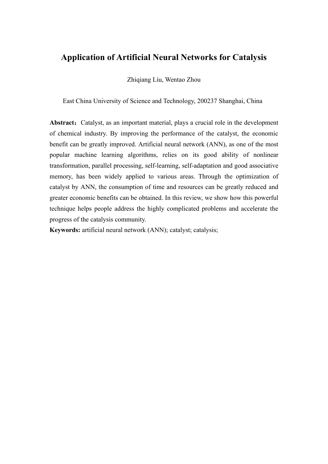# **Application of Artificial Neural Networks for Catalysis**

Zhiqiang Liu, Wentao Zhou

East China University of Science and Technology, 200237 Shanghai, China

Abstract: Catalyst, as an important material, plays a crucial role in the development of chemical industry. By improving the performance of the catalyst, the economic benefit can be greatly improved. Artificial neural network (ANN), as one of the most popular machine learning algorithms, relies on its good ability of nonlinear transformation, parallel processing, self-learning, self-adaptation and good associative memory, has been widely applied to various areas. Through the optimization of catalyst by ANN, the consumption of time and resources can be greatly reduced and greater economic benefits can be obtained. In this review, we show how this powerful technique helps people address the highly complicated problems and accelerate the progress of the catalysis community.

**Keywords:** artificial neural network (ANN); catalyst; catalysis;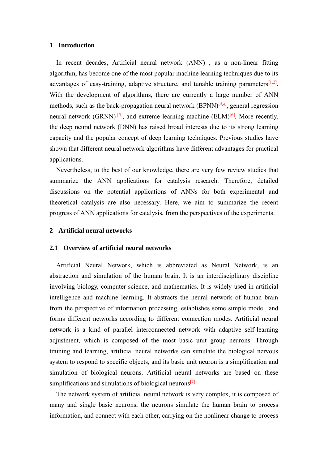# **1 Introduction**

In recent decades, Artificial neural network (ANN) , as a non-linear fitting algorithm, has become one of the most popular machine learning techniques due to its advantages of easy-training, adaptive structure, and tunable training parameters<sup>[1,2]</sup>. With the development of algorithms, there are currently a large number of ANN methods, such as the back-propagation neural network  $(BPNN)^{[3,4]}$ , general regression neural network (GRNN)<sup>[5]</sup>, and extreme learning machine (ELM)<sup>[6]</sup>. More recently, the deep neural network (DNN) has raised broad interests due to its strong learning capacity and the popular concept of deep learning techniques. Previous studies have shown that different neural network algorithms have different advantages for practical applications.

Nevertheless, to the best of our knowledge, there are very few review studies that summarize the ANN applications for catalysis research. Therefore, detailed discussions on the potential applications of ANNs for both experimental and theoretical catalysis are also necessary. Here, we aim to summarize the recent progress of ANN applications for catalysis, from the perspectives of the experiments.

# **2 Artificial neural networks**

# **2.1 Overview of artificial neural networks**

Artificial Neural Network, which is abbreviated as Neural Network, is an abstraction and simulation of the human brain. It is an interdisciplinary discipline involving biology, computer science, and mathematics. It is widely used in artificial intelligence and machine learning. It abstracts the neural network of human brain from the perspective of information processing, establishes some simple model, and forms different networks according to different connection modes. Artificial neural network is a kind of parallel interconnected network with adaptive self-learning adjustment, which is composed of the most basic unit group neurons. Through training and learning, artificial neural networks can simulate the biological nervous system to respond to specific objects, and its basic unit neuron is a simplification and simulation of biological neurons. Artificial neural networks are based on these simplifications and simulations of biological neurons<sup>[7]</sup>.

The network system of artificial neural network is very complex, it is composed of many and single basic neurons, the neurons simulate the human brain to process information, and connect with each other, carrying on the nonlinear change to process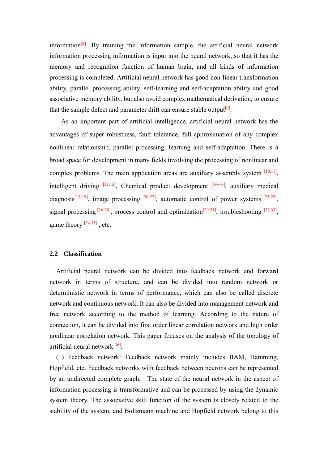information<sup>[8]</sup>. By training the information sample, the artificial neural network information processing information is input into the neural network, so that it has the memory and recognition function of human brain, and all kinds of information processing is completed. Artificial neural network has good non-linear transformation ability, parallel processing ability, self-learning and self-adaptation ability and good associative memory ability, but also avoid complex mathematical derivation, to ensure that the sample defect and parameter drift can ensure stable output<sup>[9]</sup>.

As an important part of artificial intelligence, artificial neural network has the advantages of super robustness, fault tolerance, full approximation of any complex nonlinear relationship, parallel processing, learning and self-adaptation. There is a broad space for development in many fields involving the processing of nonlinear and complex problems. The main application areas are auxiliary assembly system  $[10,11]$ , intelligent driving  $[12,13]$ , Chemical product development  $[14-16]$ , auxiliary medical diagnosis<sup>[17-19]</sup>, image processing  $[20-22]$ , automatic control of power systems  $[23-25]$ , signal processing  $[26-28]$ , process control and optimization $[29-31]$ , troubleshooting  $[32,33]$ , game theory <sup>[34,35]</sup>, etc.

# **2.2 Classification**

Artificial neural network can be divided into feedback network and forward network in terms of structure, and can be divided into random network or deterministic network in terms of performance, which can also be called discrete network and continuous network. It can also be divided into management network and free network according to the method of learning. According to the nature of connection, it can be divided into first order linear correlation network and high order nonlinear correlation network. This paper focuses on the analysis of the topology of artificial neural network<sup>[36]</sup>.

(1) Feedback network: Feedback network mainly includes BAM, Hamming, Hopfield, etc. Feedback networks with feedback between neurons can be represented by an undirected complete graph. The state of the neural network in the aspect of information processing is transformative and can be processed by using the dynamic system theory. The associative skill function of the system is closely related to the stability of the system, and Boltzmann machine and Hopfield network belong to this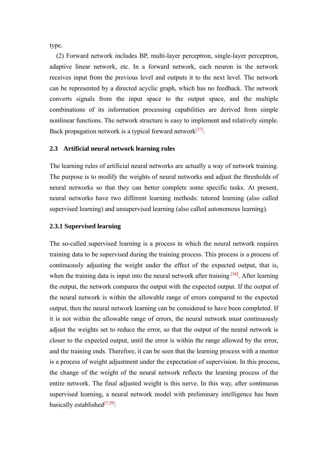type.

(2) Forward network includes BP, multi-layer perceptron, single-layer perceptron, adaptive linear network, etc. In a forward network, each neuron in the network receives input from the previous level and outputs it to the next level. The network can be represented by a directed acyclic graph, which has no feedback. The network converts signals from the input space to the output space, and the multiple combinations of its information processing capabilities are derived from simple nonlinear functions. The network structure is easy to implement and relatively simple. Back propagation network is a typical forward network<sup>[37]</sup>.

# **2.3 Artificial neural network learning rules**

The learning rules of artificial neural networks are actually a way of network training. The purpose is to modify the weights of neural networks and adjust the thresholds of neural networks so that they can better complete some specific tasks. At present, neural networks have two different learning methods: tutored learning (also called supervised learning) and unsupervised learning (also called autonomous learning).

# **2.3.1 Supervised learning**

The so-called supervised learning is a process in which the neural network requires training data to be supervised during the training process. This process is a process of continuously adjusting the weight under the effect of the expected output, that is, when the training data is input into the neural network after training <sup>[38]</sup>. After learning the output, the network compares the output with the expected output. If the output of the neural network is within the allowable range of errors compared to the expected output, then the neural network learning can be considered to have been completed. If it is not within the allowable range of errors, the neural network must continuously adjust the weights set to reduce the error, so that the output of the neural network is closer to the expected output, until the error is within the range allowed by the error, and the training ends. Therefore, it can be seen that the learning process with a mentor is a process of weight adjustment under the expectation of supervision. In this process, the change of the weight of the neural network reflects the learning process of the entire network. The final adjusted weight is this nerve. In this way, after continuous supervised learning, a neural network model with preliminary intelligence has been basically established<sup>[7,39]</sup>.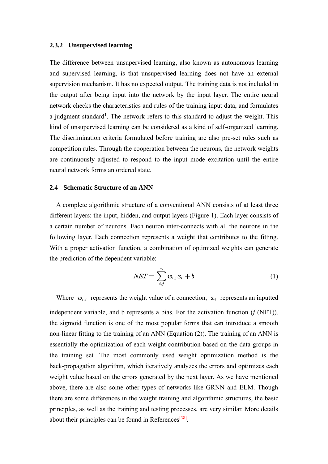# **2.3.2 Unsupervised learning**

The difference between unsupervised learning, also known as autonomous learning and supervised learning, is that unsupervised learning does not have an external supervision mechanism. It has no expected output. The training data is not included in the output after being input into the network by the input layer. The entire neural network checks the characteristics and rules of the training input data, and formulates a judgment standard<sup>1</sup>. The network refers to this standard to adjust the weight. This kind of unsupervised learning can be considered as a kind of self-organized learning. The discrimination criteria formulated before training are also pre-set rules such as competition rules. Through the cooperation between the neurons, the network weights are continuously adjusted to respond to the input mode excitation until the entire neural network forms an ordered state.

#### **2.4 Schematic Structure of an ANN**

A complete algorithmic structure of a conventional ANN consists of at least three different layers: the input, hidden, and output layers (Figure 1). Each layer consists of a certain number of neurons. Each neuron inter-connects with all the neurons in the following layer. Each connection represents a weight that contributes to the fitting. With a proper activation function, a combination of optimized weights can generate the prediction of the dependent variable:

$$
NET = \sum_{i,j}^{n} w_{i,j} x_i + b \tag{1}
$$

Where  $w_{i,j}$  represents the weight value of a connection,  $x_i$  represents an inputted independent variable, and b represents a bias. For the activation function (*f* (NET)), the sigmoid function is one of the most popular forms that can introduce a smooth non-linear fitting to the training of an ANN (Equation (2)). The training of an ANN is essentially the optimization of each weight contribution based on the data groups in the training set. The most commonly used weight optimization method is the back-propagation algorithm, which iteratively analyzes the errors and optimizes each weight value based on the errors generated by the next layer. As we have mentioned above, there are also some other types of networks like GRNN and ELM. Though there are some differences in the weight training and algorithmic structures, the basic principles, as well as the training and testing processes, are very similar. More details about their principles can be found in References<sup>[38]</sup>.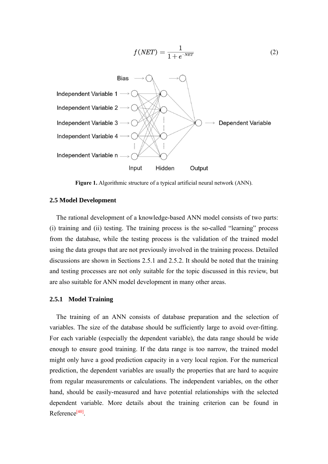

**Figure 1.** Algorithmic structure of a typical artificial neural network (ANN).

#### **2.5 Model Development**

The rational development of a knowledge-based ANN model consists of two parts: (i) training and (ii) testing. The training process is the so-called "learning" process from the database, while the testing process is the validation of the trained model using the data groups that are not previously involved in the training process. Detailed discussions are shown in Sections 2.5.1 and 2.5.2. It should be noted that the training and testing processes are not only suitable for the topic discussed in this review, but are also suitable for ANN model development in many other areas.

#### **2.5.1 Model Training**

The training of an ANN consists of database preparation and the selection of variables. The size of the database should be sufficiently large to avoid over-fitting. For each variable (especially the dependent variable), the data range should be wide enough to ensure good training. If the data range is too narrow, the trained model might only have a good prediction capacity in a very local region. For the numerical prediction, the dependent variables are usually the properties that are hard to acquire from regular measurements or calculations. The independent variables, on the other hand, should be easily-measured and have potential relationships with the selected dependent variable. More details about the training criterion can be found in Reference<sup>[40]</sup>.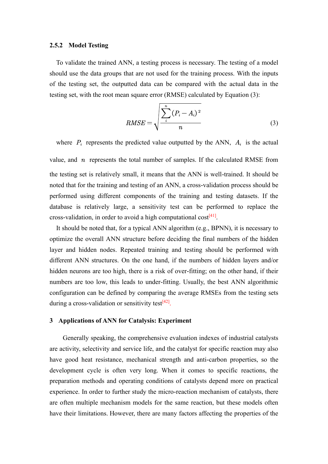# **2.5.2 Model Testing**

To validate the trained ANN, a testing process is necessary. The testing of a model should use the data groups that are not used for the training process. With the inputs of the testing set, the outputted data can be compared with the actual data in the testing set, with the root mean square error (RMSE) calculated by Equation (3):

$$
RMSE = \sqrt{\frac{\sum_{i}^{n} (P_i - A_i)^2}{n}}
$$
 (3)

where  $P_i$  represents the predicted value outputted by the ANN,  $A_i$  is the actual

value, and  $n$  represents the total number of samples. If the calculated RMSE from the testing set is relatively small, it means that the ANN is well-trained. It should be noted that for the training and testing of an ANN, a cross-validation process should be performed using different components of the training and testing datasets. If the database is relatively large, a sensitivity test can be performed to replace the cross-validation, in order to avoid a high computational  $cost^{[41]}$ .

It should be noted that, for a typical ANN algorithm (e.g., BPNN), it is necessary to optimize the overall ANN structure before deciding the final numbers of the hidden layer and hidden nodes. Repeated training and testing should be performed with different ANN structures. On the one hand, if the numbers of hidden layers and/or hidden neurons are too high, there is a risk of over-fitting; on the other hand, if their numbers are too low, this leads to under-fitting. Usually, the best ANN algorithmic configuration can be defined by comparing the average RMSEs from the testing sets during a cross-validation or sensitivity test<sup>[42]</sup>.

# **3 Applications of ANN for Catalysis: Experiment**

Generally speaking, the comprehensive evaluation indexes of industrial catalysts are activity, selectivity and service life, and the catalyst for specific reaction may also have good heat resistance, mechanical strength and anti-carbon properties, so the development cycle is often very long. When it comes to specific reactions, the preparation methods and operating conditions of catalysts depend more on practical experience. In order to further study the micro-reaction mechanism of catalysts, there are often multiple mechanism models for the same reaction, but these models often have their limitations. However, there are many factors affecting the properties of the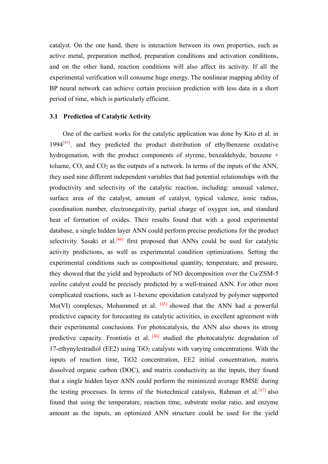catalyst. On the one hand, there is interaction between its own properties, such as active metal, preparation method, preparation conditions and activation conditions, and on the other hand, reaction conditions will also affect its activity. If all the experimental verification will consume huge energy. The nonlinear mapping ability of BP neural network can achieve certain precision prediction with less data in a short period of time, which is particularly efficient.

#### **3.1 Prediction of Catalytic Activity**

One of the earliest works for the catalytic application was done by Kito et al. in  $1994^{[43]}$ , and they predicted the product distribution of ethylbenzene oxidative hydrogenation, with the product components of styrene, benzaldehyde, benzene + toluene, CO, and CO<sup>2</sup> as the outputs of a network. In terms of the inputs of the ANN, they used nine different independent variables that had potential relationships with the productivity and selectivity of the catalytic reaction, including: unusual valence, surface area of the catalyst, amount of catalyst, typical valence, ionic radius, coordination number, electronegativity, partial charge of oxygen ion, and standard heat of formation of oxides. Their results found that with a good experimental database, a single hidden layer ANN could perform precise predictions for the product selectivity. Sasaki et al.<sup>[44]</sup> first proposed that ANNs could be used for catalytic activity predictions, as well as experimental condition optimizations. Setting the experimental conditions such as compositional quantity, temperature, and pressure, they showed that the yield and byproducts of NO decomposition over the Cu/ZSM-5 zeolite catalyst could be precisely predicted by a well-trained ANN. For other more complicated reactions, such as 1-hexene epoxidation catalyzed by polymer supported Mo(VI) complexes, Mohammed et al.  $[45]$  showed that the ANN had a powerful predictive capacity for forecasting its catalytic activities, in excellent agreement with their experimental conclusions. For photocatalysis, the ANN also shows its strong predictive capacity. Frontistis et al. <sup>[46]</sup> studied the photocatalytic degradation of 17-ethynylestradiol (EE2) using  $TiO<sub>2</sub>$  catalysts with varying concentrations. With the inputs of reaction time, TiO2 concentration, EE2 initial concentration, matrix dissolved organic carbon (DOC), and matrix conductivity as the inputs, they found that a single hidden layer ANN could perform the minimized average RMSE during the testing processes. In terms of the biotechnical catalysis, Rahman et al.<sup>[47]</sup> also found that using the temperature, reaction time, substrate molar ratio, and enzyme amount as the inputs, an optimized ANN structure could be used for the yield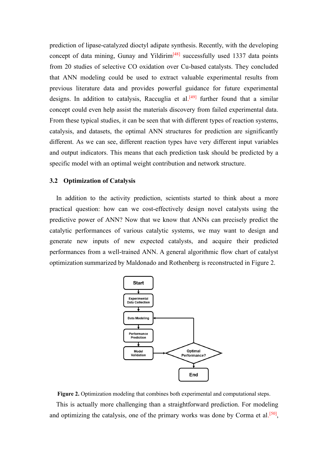prediction of lipase-catalyzed dioctyl adipate synthesis. Recently, with the developing concept of data mining, Gunay and Yildirim $[48]$  successfully used 1337 data points from 20 studies of selective CO oxidation over Cu-based catalysts. They concluded that ANN modeling could be used to extract valuable experimental results from previous literature data and provides powerful guidance for future experimental designs. In addition to catalysis, Raccuglia et al.<sup>[49]</sup> further found that a similar concept could even help assist the materials discovery from failed experimental data. From these typical studies, it can be seen that with different types of reaction systems, catalysis, and datasets, the optimal ANN structures for prediction are significantly different. As we can see, different reaction types have very different input variables and output indicators. This means that each prediction task should be predicted by a specific model with an optimal weight contribution and network structure.

#### **3.2 Optimization of Catalysis**

In addition to the activity prediction, scientists started to think about a more practical question: how can we cost-effectively design novel catalysts using the predictive power of ANN? Now that we know that ANNs can precisely predict the catalytic performances of various catalytic systems, we may want to design and generate new inputs of new expected catalysts, and acquire their predicted performances from a well-trained ANN. A general algorithmic flow chart of catalyst optimization summarized by Maldonado and Rothenberg is reconstructed in Figure 2.



**Figure 2.** Optimization modeling that combines both experimental and computational steps.

This is actually more challenging than a straightforward prediction. For modeling and optimizing the catalysis, one of the primary works was done by Corma et al.<sup>[50]</sup>,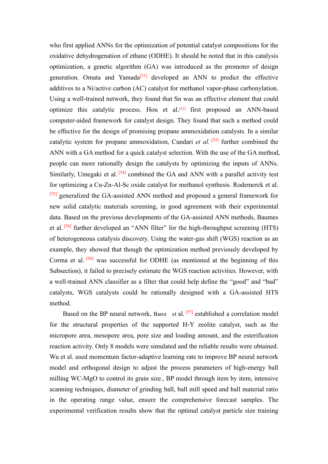who first applied ANNs for the optimization of potential catalyst compositions for the oxidative dehydrogenation of ethane (ODHE). It should be noted that in this catalysis optimization, a genetic algorithm (GA) was introduced as the promoter of design generation. Omata and Yamada<sup>[51]</sup> developed an ANN to predict the effective additives to a Ni/active carbon (AC) catalyst for methanol vapor-phase carbonylation. Using a well-trained network, they found that Sn was an effective element that could optimize this catalytic process. Hou et al.<sup>[52]</sup> first proposed an ANN-based computer-aided framework for catalyst design. They found that such a method could be effective for the design of promising propane ammoxidation catalysts. In a similar catalytic system for propane ammoxidation, Cundari *et al.* <sup>[53]</sup> further combined the ANN with a GA method for a quick catalyst selection. With the use of the GA method, people can more rationally design the catalysts by optimizing the inputs of ANNs. Similarly, Umegaki et al.  $[54]$  combined the GA and ANN with a parallel activity test for optimizing a Cu-Zn-Al-Sc oxide catalyst for methanol synthesis. Rodemerck et al. <sup>[55]</sup> generalized the GA-assisted ANN method and proposed a general framework for new solid catalytic materials screening, in good agreement with their experimental data. Based on the previous developments of the GA-assisted ANN methods, Baumes et al. <sup>[56]</sup> further developed an "ANN filter" for the high-throughput screening (HTS) of heterogeneous catalysis discovery. Using the water-gas shift (WGS) reaction as an example, they showed that though the optimization method previously developed by Corma et al.  $[50]$  was successful for ODHE (as mentioned at the beginning of this Subsection), it failed to precisely estimate the WGS reaction activities. However, with a well-trained ANN classifier as a filter that could help define the "good" and "bad" catalysts, WGS catalysts could be rationally designed with a GA-assisted HTS method.

Based on the BP neural network, Baroi et al. [57] established a correlation model for the structural properties of the supported H-Y zeolite catalyst, such as the micropore area, mesopore area, pore size and loading amount, and the esterification reaction activity. Only 8 models were simulated and the reliable results were obtained. Wu et al. used momentum factor-adaptive learning rate to improve BP neural network model and orthogonal design to adjust the process parameters of high-energy ball milling WC-MgO to control its grain size., BP model through item by item, intensive scanning techniques, diameter of grinding ball, ball mill speed and ball material ratio in the operating range value, ensure the comprehensive forecast samples. The experimental verification results show that the optimal catalyst particle size training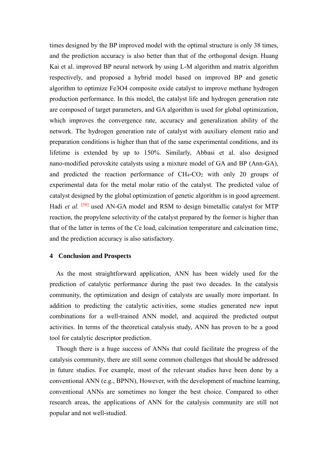times designed by the BP improved model with the optimal structure is only 38 times, and the prediction accuracy is also better than that of the orthogonal design. Huang Kai et al. improved BP neural network by using L-M algorithm and matrix algorithm respectively, and proposed a hybrid model based on improved BP and genetic algorithm to optimize Fe3O4 composite oxide catalyst to improve methane hydrogen production performance. In this model, the catalyst life and hydrogen generation rate are composed of target parameters, and GA algorithm is used for global optimization, which improves the convergence rate, accuracy and generalization ability of the network. The hydrogen generation rate of catalyst with auxiliary element ratio and preparation conditions is higher than that of the same experimental conditions, and its lifetime is extended by up to 150%. Similarly, Abbasi et al. also designed nano-modified perovskite catalysts using a mixture model of GA and BP (Ann-GA), and predicted the reaction performance of  $CH_4$ - $CO_2$  with only 20 groups of experimental data for the metal molar ratio of the catalyst. The predicted value of catalyst designed by the global optimization of genetic algorithm is in good agreement. Hadi et al. <sup>[58]</sup> used AN-GA model and RSM to design bimetallic catalyst for MTP reaction, the propylene selectivity of the catalyst prepared by the former is higher than that of the latter in terms of the Ce load, calcination temperature and calcination time, and the prediction accuracy is also satisfactory.

# **4 Conclusion and Prospects**

As the most straightforward application, ANN has been widely used for the prediction of catalytic performance during the past two decades. In the catalysis community, the optimization and design of catalysts are usually more important. In addition to predicting the catalytic activities, some studies generated new input combinations for a well-trained ANN model, and acquired the predicted output activities. In terms of the theoretical catalysis study, ANN has proven to be a good tool for catalytic descriptor prediction.

Though there is a huge success of ANNs that could facilitate the progress of the catalysis community, there are still some common challenges that should be addressed in future studies. For example, most of the relevant studies have been done by a conventional ANN (e.g., BPNN), However, with the development of machine learning, conventional ANNs are sometimes no longer the best choice. Compared to other research areas, the applications of ANN for the catalysis community are still not popular and not well-studied.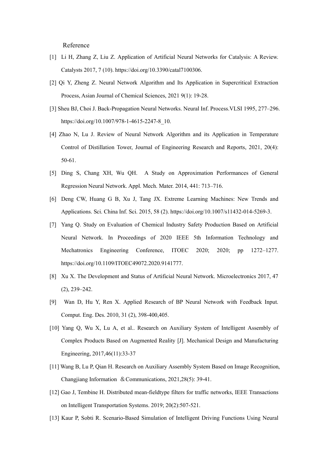Reference

- [1] Li H, Zhang Z, Liu Z. Application of Artificial Neural Networks for Catalysis: A Review. Catalysts 2017, 7 (10). https://doi.org/10.3390/catal7100306.
- [2] Qi Y, Zheng Z. Neural Network Algorithm and Its Application in Supercritical Extraction Process, Asian Journal of Chemical Sciences, 2021 9(1): 19-28.
- [3] Sheu BJ, Choi J. Back-Propagation Neural Networks. Neural Inf. Process.VLSI 1995, 277–296. https://doi.org/10.1007/978-1-4615-2247-8\_10.
- [4] Zhao N, Lu J. Review of Neural Network Algorithm and its Application in Temperature Control of Distillation Tower, Journal of Engineering Research and Reports, 2021, 20(4): 50-61.
- [5] Ding S, Chang XH, Wu QH. A Study on Approximation Performances of General Regression Neural Network. Appl. Mech. Mater. 2014, 441: 713–716.
- [6] Deng CW, Huang G B, Xu J, Tang JX. Extreme Learning Machines: New Trends and Applications. Sci. China Inf. Sci. 2015, 58 (2). https://doi.org/10.1007/s11432-014-5269-3.
- [7] Yang Q. Study on Evaluation of Chemical Industry Safety Production Based on Artificial Neural Network. In Proceedings of 2020 IEEE 5th Information Technology and Mechatronics Engineering Conference, ITOEC 2020; 2020; pp 1272–1277. https://doi.org/10.1109/ITOEC49072.2020.9141777.
- [8] Xu X. The Development and Status of Artificial Neural Network. Microelectronics 2017, 47 (2), 239–242.
- [9] Wan D, Hu Y, Ren X. Applied Research of BP Neural Network with Feedback Input. Comput. Eng. Des. 2010, 31 (2), 398-400,405.
- [10] Yang Q, Wu X, Lu A, et al.. Research on Auxiliary System of Intelligent Assembly of Complex Products Based on Augmented Reality [J]. Mechanical Design and Manufacturing Engineering, 2017,46(11):33-37
- [11] Wang B, Lu P, Qian H. Research on Auxiliary Assembly System Based on Image Recognition, Changjiang Information &Communications, 2021,28(5): 39-41.
- [12] Gao J, Tembine H. Distributed mean-fieldtype filters for traffic networks, IEEE Transactions on Intelligent Transportation Systems. 2019; 20(2):507-521.
- [13] Kaur P, Sobti R. Scenario-Based Simulation of Intelligent Driving Functions Using Neural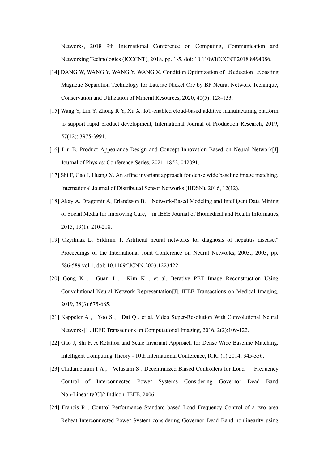Networks, 2018 9th International Conference on Computing, Communication and Networking Technologies (ICCCNT), 2018, pp. 1-5, doi: 10.1109/ICCCNT.2018.8494086.

- [14] DANG W, WANG Y, WANG Y, WANG X. Condition Optimization of Reduction Roasting Magnetic Separation Technology for Laterite Nickel Ore by BP Neural Network Technique, Conservation and Utilization of Mineral Resources, 2020, 40(5): 128-133.
- [15] Wang Y, Lin Y, Zhong R Y, Xu X. IoT-enabled cloud-based additive manufacturing platform to support rapid product development, International Journal of Production Research, 2019, 57(12): 3975-3991.
- [16] Liu B. Product Appearance Design and Concept Innovation Based on Neural Network[J] Journal of Physics: Conference Series, 2021, 1852, 042091.
- [17] Shi F, Gao J, Huang X. An affine invariant approach for dense wide baseline image matching. International Journal of Distributed Sensor Networks (IJDSN), 2016, 12(12).
- [18] Akay A, Dragomir A, Erlandsson B. Network-Based Modeling and Intelligent Data Mining of Social Media for Improving Care, in IEEE Journal of Biomedical and Health Informatics, 2015, 19(1): 210-218.
- [19] Ozyilmaz L, Yildirim T. Artificial neural networks for diagnosis of hepatitis disease," Proceedings of the International Joint Conference on Neural Networks, 2003., 2003, pp. 586-589 vol.1, doi: 10.1109/IJCNN.2003.1223422.
- [20] Gong K , Guan J , Kim K , et al. Iterative PET Image Reconstruction Using Convolutional Neural Network Representation[J]. IEEE Transactions on Medical Imaging, 2019, 38(3):675-685.
- [21] Kappeler A , Yoo S , Dai Q , et al. Video Super-Resolution With Convolutional Neural Networks[J]. IEEE Transactions on Computational Imaging, 2016, 2(2):109-122.
- [22] Gao J, Shi F. A Rotation and Scale Invariant Approach for Dense Wide Baseline Matching. Intelligent Computing Theory - 10th International Conference, ICIC (1) 2014: 345-356.
- [23] Chidambaram I A , Velusami S . Decentralized Biased Controllers for Load Frequency Control of Interconnected Power Systems Considering Governor Dead Band Non-Linearity[C]// Indicon. IEEE, 2006.
- [24] Francis R . Control Performance Standard based Load Frequency Control of a two area Reheat Interconnected Power System considering Governor Dead Band nonlinearity using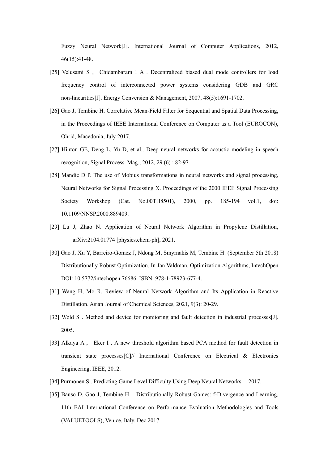Fuzzy Neural Network[J]. International Journal of Computer Applications, 2012, 46(15):41-48.

- [25] Velusami S , Chidambaram I A . Decentralized biased dual mode controllers for load frequency control of interconnected power systems considering GDB and GRC non-linearities[J]. Energy Conversion & Management, 2007, 48(5):1691-1702.
- [26] Gao J, Tembine H. Correlative Mean-Field Filter for Sequential and Spatial Data Processing, in the Proceedings of IEEE International Conference on Computer as a Tool (EUROCON), Ohrid, Macedonia, July 2017.
- [27] Hinton GE, Deng L, Yu D, et al.. Deep neural networks for acoustic modeling in speech recognition, Signal Process. Mag., 2012, 29 (6) : 82-97
- [28] Mandic D P. The use of Mobius transformations in neural networks and signal processing, Neural Networks for Signal Processing X. Proceedings of the 2000 IEEE Signal Processing Society Workshop (Cat. No.00TH8501), 2000, pp. 185-194 vol.1, doi: 10.1109/NNSP.2000.889409.
- [29] Lu J, Zhao N. Application of Neural Network Algorithm in Propylene Distillation, arXiv:2104.01774 [physics.chem-ph], 2021.
- [30] Gao J, Xu Y, Barreiro-Gomez J, Ndong M, Smyrnakis M, Tembine H. (September 5th 2018) Distributionally Robust Optimization. In Jan Valdman, Optimization Algorithms, IntechOpen. DOI: 10.5772/intechopen.76686. ISBN: 978-1-78923-677-4.
- [31] Wang H, Mo R. Review of Neural Network Algorithm and Its Application in Reactive Distillation. Asian Journal of Chemical Sciences, 2021, 9(3): 20-29.
- [32] Wold S . Method and device for monitoring and fault detection in industrial processes[J]. 2005.
- [33] Alkaya A , Eker I . A new threshold algorithm based PCA method for fault detection in transient state processes $|C|$ // International Conference on Electrical & Electronics Engineering. IEEE, 2012.
- [34] Purmonen S . Predicting Game Level Difficulty Using Deep Neural Networks. 2017.
- [35] Bauso D, Gao J, Tembine H. Distributionally Robust Games: f-Divergence and Learning, 11th EAI International Conference on Performance Evaluation Methodologies and Tools (VALUETOOLS), Venice, Italy, Dec 2017.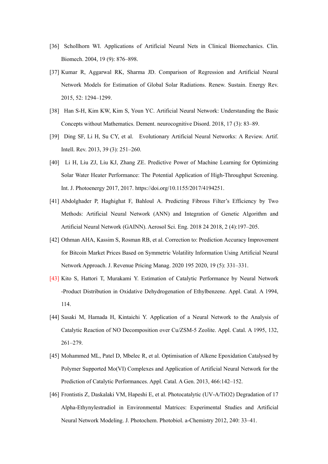- [36] Schollhorn WI. Applications of Artificial Neural Nets in Clinical Biomechanics. Clin. Biomech. 2004, 19 (9): 876–898.
- [37] Kumar R, Aggarwal RK, Sharma JD. Comparison of Regression and Artificial Neural Network Models for Estimation of Global Solar Radiations. Renew. Sustain. Energy Rev. 2015, 52: 1294–1299.
- [38] Han S-H, Kim KW, Kim S, Youn YC. Artificial Neural Network: Understanding the Basic Concepts without Mathematics. Dement. neurocognitive Disord. 2018, 17 (3): 83–89.
- [39] Ding SF, Li H, Su CY, et al. Evolutionary Artificial Neural Networks: A Review. Artif. Intell. Rev. 2013, 39 (3): 251–260.
- [40] Li H, Liu ZJ, Liu KJ, Zhang ZE. Predictive Power of Machine Learning for Optimizing Solar Water Heater Performance: The Potential Application of High-Throughput Screening. Int. J. Photoenergy 2017, 2017. https://doi.org/10.1155/2017/4194251.
- [41] Abdolghader P, Haghighat F, Bahloul A. Predicting Fibrous Filter's Efficiency by Two Methods: Artificial Neural Network (ANN) and Integration of Genetic Algorithm and Artificial Neural Network (GAINN). Aerosol Sci. Eng. 2018 24 2018, 2 (4):197–205.
- [42] Othman AHA, Kassim S, Rosman RB, et al. Correction to: Prediction Accuracy Improvement for Bitcoin Market Prices Based on Symmetric Volatility Information Using Artificial Neural Network Approach. J. Revenue Pricing Manag. 2020 195 2020, 19 (5): 331–331.
- [43] Kito S, Hattori T, Murakami Y. Estimation of Catalytic Performance by Neural Network -Product Distribution in Oxidative Dehydrogenation of Ethylbenzene. Appl. Catal. A 1994, 114.
- [44] Sasaki M, Hamada H, Kintaichi Y. Application of a Neural Network to the Analysis of Catalytic Reaction of NO Decomposition over Cu/ZSM-5 Zeolite. Appl. Catal. A 1995, 132, 261–279.
- [45] Mohammed ML, Patel D, Mbelec R, et al. Optimisation of Alkene Epoxidation Catalysed by Polymer Supported Mo(VI) Complexes and Application of Artificial Neural Network for the Prediction of Catalytic Performances. Appl. Catal. A Gen. 2013, 466:142–152.
- [46] Frontistis Z, Daskalaki VM, Hapeshi E, et al. Photocatalytic (UV-A/TiO2) Degradation of 17 Alpha-Ethynylestradiol in Environmental Matrices: Experimental Studies and Artificial Neural Network Modeling. J. Photochem. Photobiol. a-Chemistry 2012, 240: 33–41.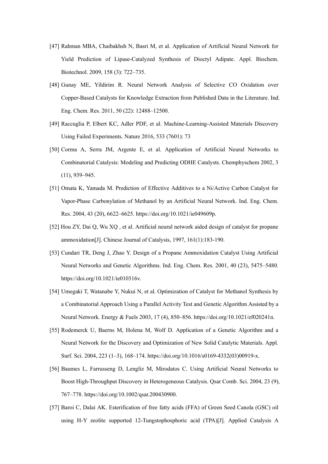- [47] Rahman MBA, Chaibakhsh N, Basri M, et al. Application of Artificial Neural Network for Yield Prediction of Lipase-Catalyzed Synthesis of Dioctyl Adipate. Appl. Biochem. Biotechnol. 2009, 158 (3): 722–735.
- [48] Gunay ME, Yildirim R. Neural Network Analysis of Selective CO Oxidation over Copper-Based Catalysts for Knowledge Extraction from Published Data in the Literature. Ind. Eng. Chem. Res. 2011, 50 (22): 12488–12500.
- [49] Raccuglia P, Elbert KC, Adler PDF, et al. Machine-Learning-Assisted Materials Discovery Using Failed Experiments. Nature 2016, 533 (7601): 73
- [50] Corma A, Serra JM, Argente E, et al. Application of Artificial Neural Networks to Combinatorial Catalysis: Modeling and Predicting ODHE Catalysts. Chemphyschem 2002, 3 (11), 939–945.
- [51] Omata K, Yamada M. Prediction of Effective Additives to a Ni/Active Carbon Catalyst for Vapor-Phase Carbonylation of Methanol by an Artificial Neural Network. Ind. Eng. Chem. Res. 2004, 43 (20), 6622–6625. https://doi.org/10.1021/ie049609p.
- [52] Hou ZY, Dai Q, Wu XQ , et al. Artificial neural network aided design of catalyst for propane ammoxidation[J]. Chinese Journal of Catalysis, 1997, 161(1):183-190.
- [53] Cundari TR, Deng J, Zhao Y. Design of a Propane Ammoxidation Catalyst Using Artificial Neural Networks and Genetic Algorithms. Ind. Eng. Chem. Res. 2001, 40 (23), 5475–5480. https://doi.org/10.1021/ie010316v.
- [54] Umegaki T, Watanabe Y, Nukui N, et al. Optimization of Catalyst for Methanol Synthesis by a Combinatorial Approach Using a Parallel Activity Test and Genetic Algorithm Assisted by a Neural Network. Energy & Fuels 2003, 17 (4), 850–856. https://doi.org/10.1021/ef020241n.
- [55] Rodemerck U, Baerns M, Holena M, Wolf D. Application of a Genetic Algorithm and a Neural Network for the Discovery and Optimization of New Solid Catalytic Materials. Appl. Surf. Sci. 2004, 223 (1–3), 168–174. https://doi.org/10.1016/s0169-4332(03)00919-x.
- [56] Baumes L, Farrusseng D, Lengliz M, Mirodatos C. Using Artificial Neural Networks to Boost High-Throughput Discovery in Heterogeneous Catalysis. Qsar Comb. Sci. 2004, 23 (9), 767–778. https://doi.org/10.1002/qsar.200430900.
- [57] Baroi C, Dalai AK. Esterification of free fatty acids (FFA) of Green Seed Canola (GSC) oil using H-Y zeolite supported 12-Tungstophosphoric acid (TPA)[J]. Applied Catalysis A